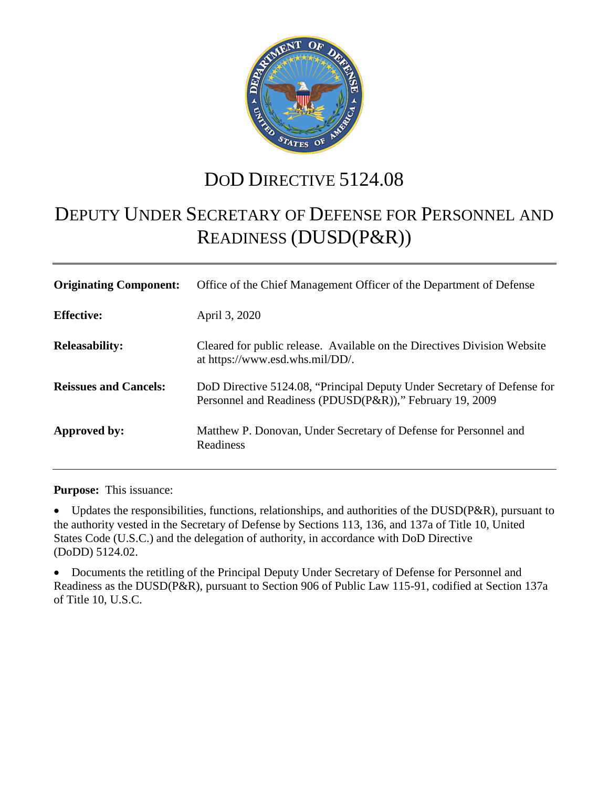

## DOD DIRECTIVE  $5124.08$

# DEPUTY UNDER SECRETARY OF DEFENSE FOR PERSONNEL AND READINESS (DUSD(P&R))

| <b>Originating Component:</b> | Office of the Chief Management Officer of the Department of Defense                                                                 |
|-------------------------------|-------------------------------------------------------------------------------------------------------------------------------------|
| <b>Effective:</b>             | April 3, 2020                                                                                                                       |
| <b>Releasability:</b>         | Cleared for public release. Available on the Directives Division Website<br>at https://www.esd.whs.mil/DD/.                         |
| <b>Reissues and Cancels:</b>  | DoD Directive 5124.08, "Principal Deputy Under Secretary of Defense for<br>Personnel and Readiness (PDUSD(P&R))," February 19, 2009 |
| Approved by:                  | Matthew P. Donovan, Under Secretary of Defense for Personnel and<br>Readiness                                                       |

**Purpose:** This issuance:

Updates the responsibilities, functions, relationships, and authorities of the DUSD(P&R), pursuant to the authority vested in the Secretary of Defense by Sections 113, 136, and 137a of Title 10, United States Code (U.S.C.) and the delegation of authority, in accordance with DoD Directive (DoDD) 5124.02.

• Documents the retitling of the Principal Deputy Under Secretary of Defense for Personnel and Readiness as the DUSD(P&R), pursuant to Section 906 of Public Law 115-91, codified at Section 137a of Title 10, U.S.C.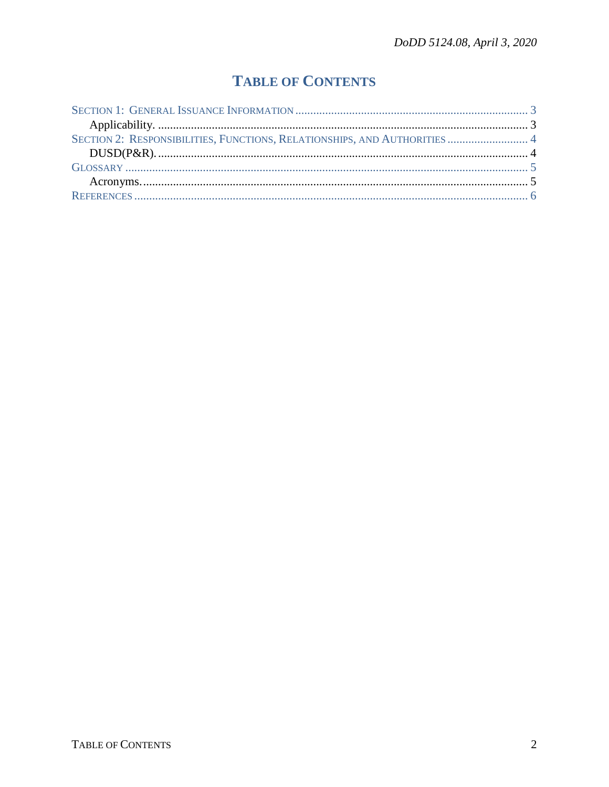## **TABLE OF CONTENTS**

| SECTION 2: RESPONSIBILITIES, FUNCTIONS, RELATIONSHIPS, AND AUTHORITIES  4 |  |
|---------------------------------------------------------------------------|--|
|                                                                           |  |
|                                                                           |  |
|                                                                           |  |
|                                                                           |  |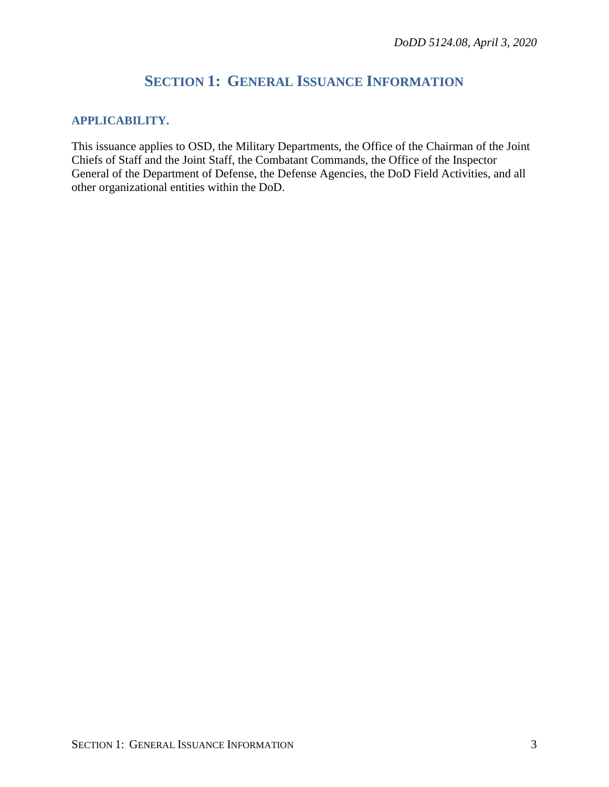### **SECTION 1: GENERAL ISSUANCE INFORMATION**

#### <span id="page-2-1"></span><span id="page-2-0"></span>**APPLICABILITY.**

This issuance applies to OSD, the Military Departments, the Office of the Chairman of the Joint Chiefs of Staff and the Joint Staff, the Combatant Commands, the Office of the Inspector General of the Department of Defense, the Defense Agencies, the DoD Field Activities, and all other organizational entities within the DoD.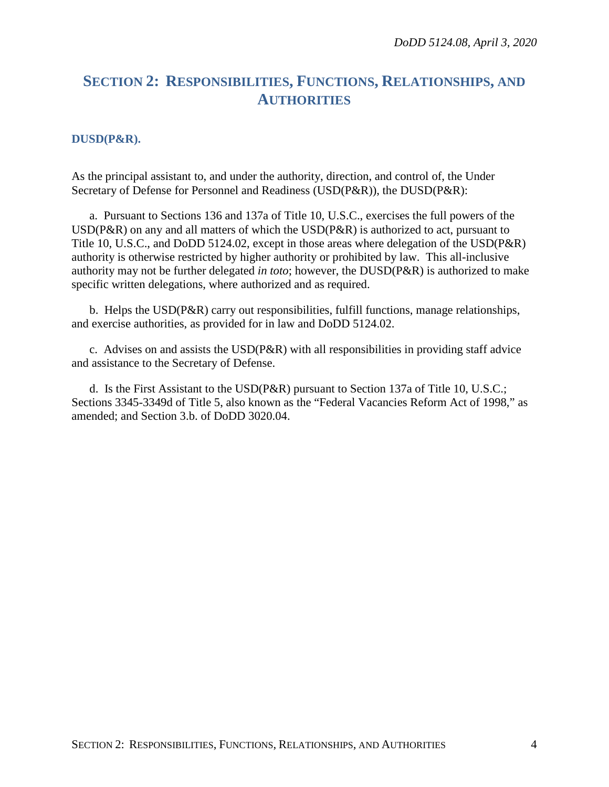### <span id="page-3-0"></span>**SECTION 2: RESPONSIBILITIES, FUNCTIONS, RELATIONSHIPS, AND AUTHORITIES**

#### <span id="page-3-1"></span>**DUSD(P&R).**

As the principal assistant to, and under the authority, direction, and control of, the Under Secretary of Defense for Personnel and Readiness (USD(P&R)), the DUSD(P&R):

a. Pursuant to Sections 136 and 137a of Title 10, U.S.C., exercises the full powers of the USD(P&R) on any and all matters of which the USD(P&R) is authorized to act, pursuant to Title 10, U.S.C., and DoDD 5124.02, except in those areas where delegation of the USD(P&R) authority is otherwise restricted by higher authority or prohibited by law. This all-inclusive authority may not be further delegated *in toto*; however, the DUSD(P&R) is authorized to make specific written delegations, where authorized and as required.

b. Helps the USD(P&R) carry out responsibilities, fulfill functions, manage relationships, and exercise authorities, as provided for in law and DoDD 5124.02.

c. Advises on and assists the USD(P&R) with all responsibilities in providing staff advice and assistance to the Secretary of Defense.

d. Is the First Assistant to the USD(P&R) pursuant to Section 137a of Title 10, U.S.C.; Sections 3345-3349d of Title 5, also known as the "Federal Vacancies Reform Act of 1998," as amended; and Section 3.b. of DoDD 3020.04.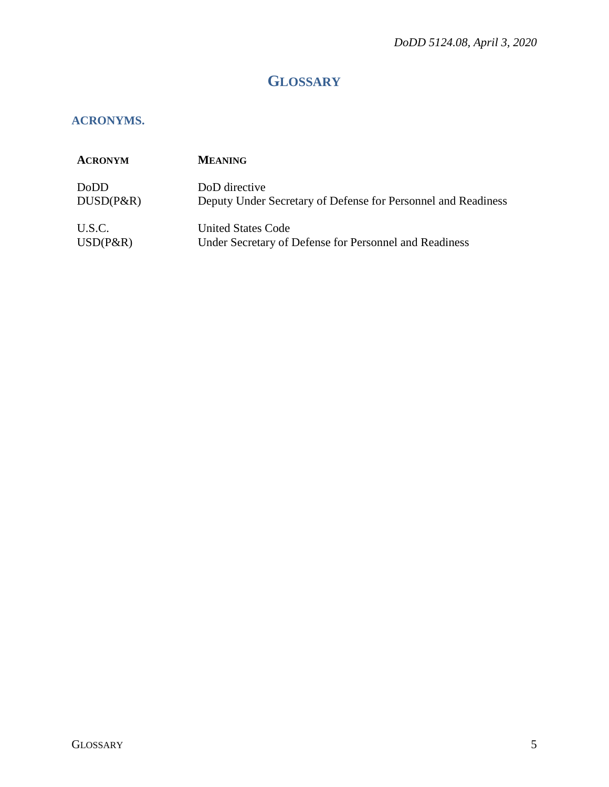## **GLOSSARY**

#### <span id="page-4-1"></span><span id="page-4-0"></span>**ACRONYMS.**

| <b>ACRONYM</b> | <b>MEANING</b>                                                |
|----------------|---------------------------------------------------------------|
| DoDD           | DoD directive                                                 |
| $DUSD(P\&R)$   | Deputy Under Secretary of Defense for Personnel and Readiness |
| U.S.C.         | <b>United States Code</b>                                     |
| $USD(P\&R)$    | Under Secretary of Defense for Personnel and Readiness        |